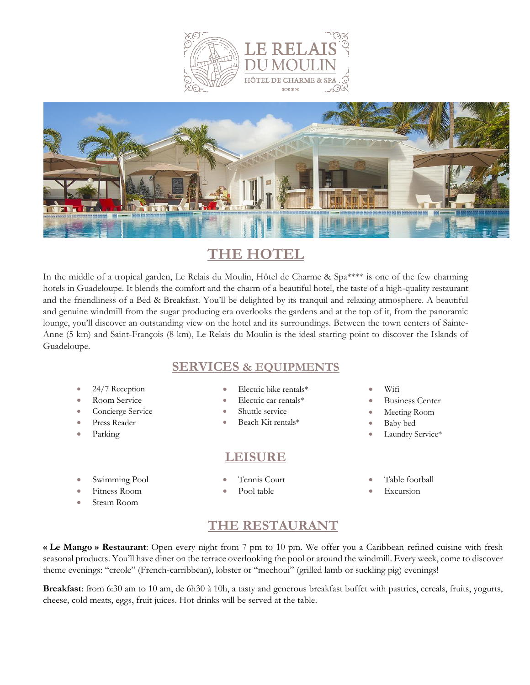



# **THE HOTEL**

In the middle of a tropical garden, Le Relais du Moulin, Hôtel de Charme & Spa\*\*\*\* is one of the few charming hotels in Guadeloupe. It blends the comfort and the charm of a beautiful hotel, the taste of a high-quality restaurant and the friendliness of a Bed & Breakfast. You'll be delighted by its tranquil and relaxing atmosphere. A beautiful and genuine windmill from the sugar producing era overlooks the gardens and at the top of it, from the panoramic lounge, you'll discover an outstanding view on the hotel and its surroundings. Between the town centers of Sainte-Anne (5 km) and Saint-François (8 km), Le Relais du Moulin is the ideal starting point to discover the Islands of Guadeloupe.

### **SERVICES & EQUIPMENTS**

- 24/7 Reception
- Room Service
- Concierge Service
- Press Reader
- Parking
- Swimming Pool
- Fitness Room
- Steam Room
- Electric bike rentals\*
- Electric car rentals\*
- Shuttle service
- Beach Kit rentals\*

### **LEISURE**

• Tennis Court

- Wifi
- **Business Center**
- Meeting Room
- Baby bed
- Laundry Service\*
- Table football
- **Excursion**

## **THE RESTAURANT**

**« Le Mango » Restaurant**: Open every night from 7 pm to 10 pm. We offer you a Caribbean refined cuisine with fresh seasonal products. You'll have diner on the terrace overlooking the pool or around the windmill. Every week, come to discover theme evenings: "creole" (French-carribbean), lobster or "mechoui" (grilled lamb or suckling pig) evenings!

**Breakfast**: from 6:30 am to 10 am, de 6h30 à 10h, a tasty and generous breakfast buffet with pastries, cereals, fruits, yogurts, cheese, cold meats, eggs, fruit juices. Hot drinks will be served at the table.

Pool table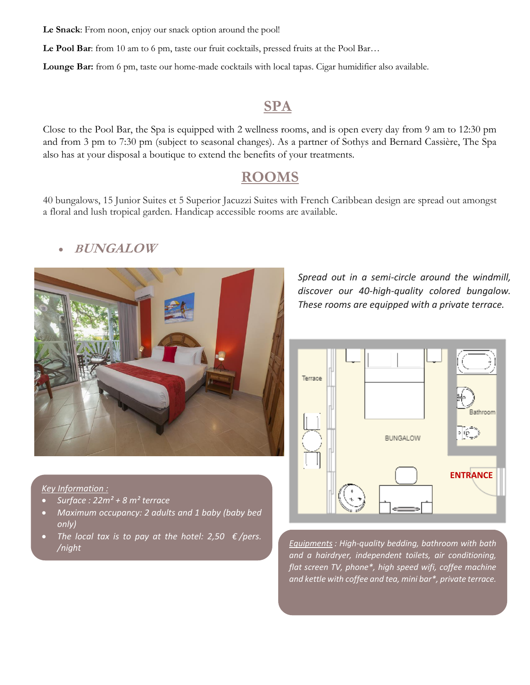**Le Snack**: From noon, enjoy our snack option around the pool!

Le Pool Bar: from 10 am to 6 pm, taste our fruit cocktails, pressed fruits at the Pool Bar...

**Lounge Bar:** from 6 pm, taste our home-made cocktails with local tapas. Cigar humidifier also available.

## **SPA**

Close to the Pool Bar, the Spa is equipped with 2 wellness rooms, and is open every day from 9 am to 12:30 pm and from 3 pm to 7:30 pm (subject to seasonal changes). As a partner of Sothys and Bernard Cassière, The Spa also has at your disposal a boutique to extend the benefits of your treatments.

# **ROOMS**

40 bungalows, 15 Junior Suites et 5 Superior Jacuzzi Suites with French Caribbean design are spread out amongst a floral and lush tropical garden. Handicap accessible rooms are available.





*Spread out in a semi-circle around the windmill, discover our 40-high-quality colored bungalow. These rooms are equipped with a private terrace.* 



### *Key Information :*

- *Surface : 22m² + 8 m² terrace*
- *Maximum occupancy: 2 adults and 1 baby (baby bed only)*
- *The local tax is to pay at the hotel: 2,50*  $\epsilon$ */pers.*

*/night Equipments : High-quality bedding, bathroom with bath and a hairdryer, independent toilets, air conditioning, flat screen TV, phone\*, high speed wifi, coffee machine and kettle with coffee and tea, mini bar\*, private terrace.*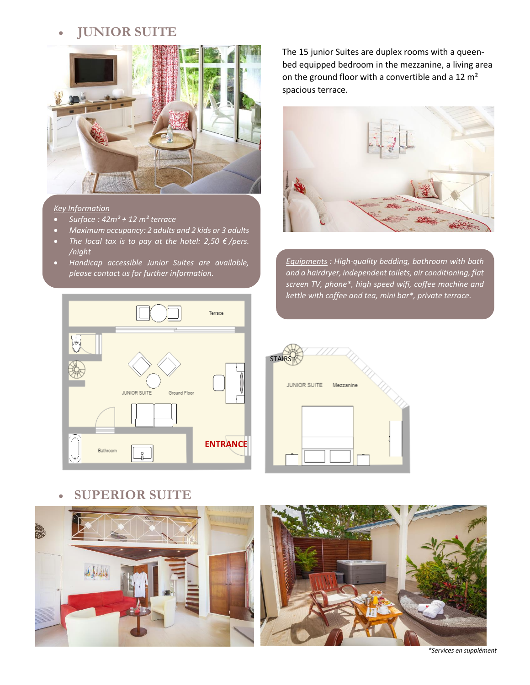## • **JUNIOR SUITE**



#### *Key Information*

- *Surface : 42m² + 12 m² terrace*
- *Maximum occupancy: 2 adults and 2 kids or 3 adults*
- *The local tax is to pay at the hotel: 2,50 € /pers. /night*
- *Handicap accessible Junior Suites are available, please contact us for further information.*



• **SUPERIOR SUITE**



The 15 junior Suites are duplex rooms with a queenbed equipped bedroom in the mezzanine, a living area on the ground floor with a convertible and a 12 m<sup>2</sup> spacious terrace.



*Equipments : High-quality bedding, bathroom with bath and a hairdryer, independent toilets, air conditioning, flat screen TV, phone\*, high speed wifi, coffee machine and kettle with coffee and tea, mini bar\*, private terrace.*





*\*Services en supplément*